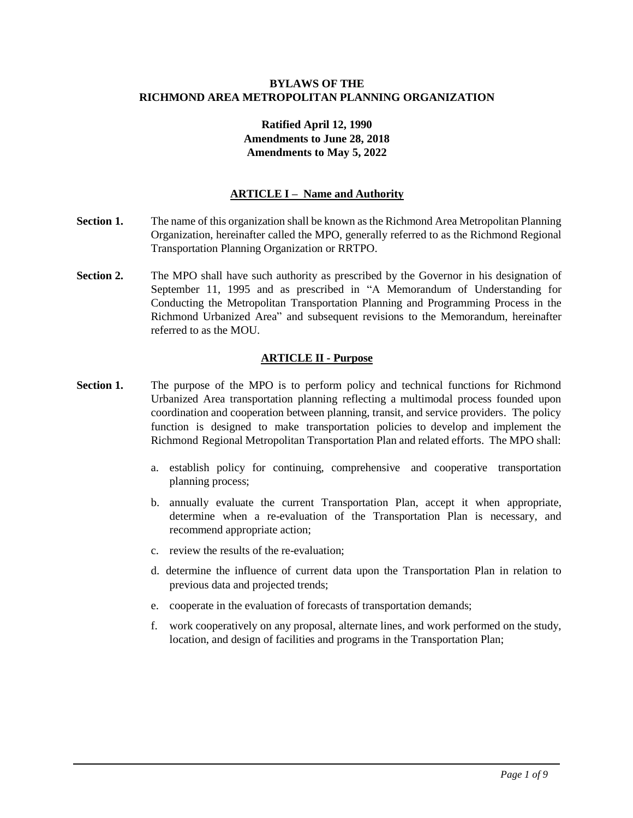## **BYLAWS OF THE RICHMOND AREA METROPOLITAN PLANNING ORGANIZATION**

## **Ratified April 12, 1990 Amendments to June 28, 2018 Amendments to May 5, 2022**

#### **ARTICLE I – Name and Authority**

- **Section 1.** The name of this organization shall be known as the Richmond Area Metropolitan Planning Organization, hereinafter called the MPO, generally referred to as the Richmond Regional Transportation Planning Organization or RRTPO.
- **Section 2.** The MPO shall have such authority as prescribed by the Governor in his designation of September 11, 1995 and as prescribed in "A Memorandum of Understanding for Conducting the Metropolitan Transportation Planning and Programming Process in the Richmond Urbanized Area" and subsequent revisions to the Memorandum, hereinafter referred to as the MOU.

#### **ARTICLE II - Purpose**

- **Section 1.** The purpose of the MPO is to perform policy and technical functions for Richmond Urbanized Area transportation planning reflecting a multimodal process founded upon coordination and cooperation between planning, transit, and service providers. The policy function is designed to make transportation policies to develop and implement the Richmond Regional Metropolitan Transportation Plan and related efforts. The MPO shall:
	- a. establish policy for continuing, comprehensive and cooperative transportation planning process;
	- b. annually evaluate the current Transportation Plan, accept it when appropriate, determine when a re-evaluation of the Transportation Plan is necessary, and recommend appropriate action;
	- c. review the results of the re-evaluation;
	- d. determine the influence of current data upon the Transportation Plan in relation to previous data and projected trends;
	- e. cooperate in the evaluation of forecasts of transportation demands;
	- f. work cooperatively on any proposal, alternate lines, and work performed on the study, location, and design of facilities and programs in the Transportation Plan;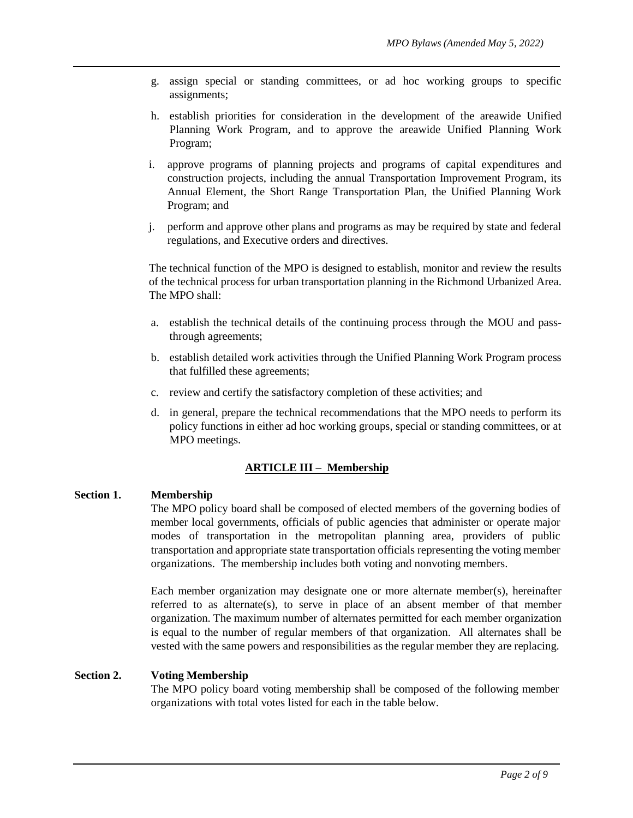- g. assign special or standing committees, or ad hoc working groups to specific assignments;
- h. establish priorities for consideration in the development of the areawide Unified Planning Work Program, and to approve the areawide Unified Planning Work Program;
- i. approve programs of planning projects and programs of capital expenditures and construction projects, including the annual Transportation Improvement Program, its Annual Element, the Short Range Transportation Plan, the Unified Planning Work Program; and
- j. perform and approve other plans and programs as may be required by state and federal regulations, and Executive orders and directives.

The technical function of the MPO is designed to establish, monitor and review the results of the technical process for urban transportation planning in the Richmond Urbanized Area. The MPO shall:

- a. establish the technical details of the continuing process through the MOU and passthrough agreements;
- b. establish detailed work activities through the Unified Planning Work Program process that fulfilled these agreements;
- c. review and certify the satisfactory completion of these activities; and
- d. in general, prepare the technical recommendations that the MPO needs to perform its policy functions in either ad hoc working groups, special or standing committees, or at MPO meetings.

#### **ARTICLE III – Membership**

#### **Section 1. Membership**

The MPO policy board shall be composed of elected members of the governing bodies of member local governments, officials of public agencies that administer or operate major modes of transportation in the metropolitan planning area, providers of public transportation and appropriate state transportation officials representing the voting member organizations. The membership includes both voting and nonvoting members.

Each member organization may designate one or more alternate member(s), hereinafter referred to as alternate(s), to serve in place of an absent member of that member organization. The maximum number of alternates permitted for each member organization is equal to the number of regular members of that organization. All alternates shall be vested with the same powers and responsibilities as the regular member they are replacing.

#### **Section 2. Voting Membership**

The MPO policy board voting membership shall be composed of the following member organizations with total votes listed for each in the table below.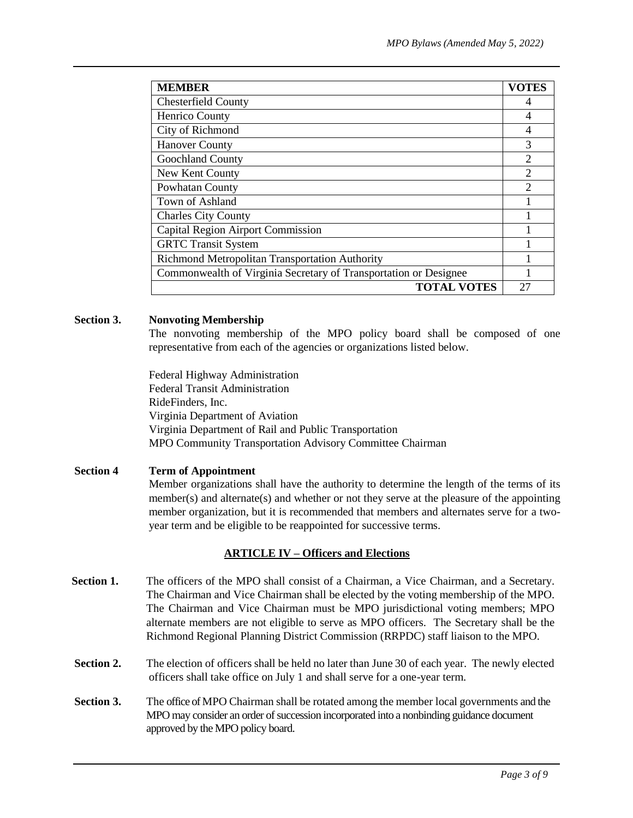| <b>MEMBER</b>                                                    | <b>VOTES</b> |
|------------------------------------------------------------------|--------------|
| <b>Chesterfield County</b>                                       |              |
| Henrico County                                                   |              |
| City of Richmond                                                 |              |
| <b>Hanover County</b>                                            |              |
| <b>Goochland County</b>                                          |              |
| New Kent County                                                  |              |
| Powhatan County                                                  |              |
| Town of Ashland                                                  |              |
| <b>Charles City County</b>                                       |              |
| <b>Capital Region Airport Commission</b>                         |              |
| <b>GRTC Transit System</b>                                       |              |
| Richmond Metropolitan Transportation Authority                   |              |
| Commonwealth of Virginia Secretary of Transportation or Designee |              |
| <b>TOTAL VOTES</b>                                               | 27           |

#### **Section 3. Nonvoting Membership**

The nonvoting membership of the MPO policy board shall be composed of one representative from each of the agencies or organizations listed below.

Federal Highway Administration Federal Transit Administration RideFinders, Inc. Virginia Department of Aviation Virginia Department of Rail and Public Transportation MPO Community Transportation Advisory Committee Chairman

#### **Section 4 Term of Appointment**

Member organizations shall have the authority to determine the length of the terms of its member(s) and alternate(s) and whether or not they serve at the pleasure of the appointing member organization, but it is recommended that members and alternates serve for a twoyear term and be eligible to be reappointed for successive terms.

#### **ARTICLE IV – Officers and Elections**

- **Section 1.** The officers of the MPO shall consist of a Chairman, a Vice Chairman, and a Secretary. The Chairman and Vice Chairman shall be elected by the voting membership of the MPO. The Chairman and Vice Chairman must be MPO jurisdictional voting members; MPO alternate members are not eligible to serve as MPO officers. The Secretary shall be the Richmond Regional Planning District Commission (RRPDC) staff liaison to the MPO.
- **Section 2.** The election of officers shall be held no later than June 30 of each year. The newly elected officers shall take office on July 1 and shall serve for a one-year term.
- **Section 3.** The office of MPO Chairman shall be rotated among the member local governments and the MPO may consider an order of succession incorporated into a nonbinding guidance document approved by the MPO policy board.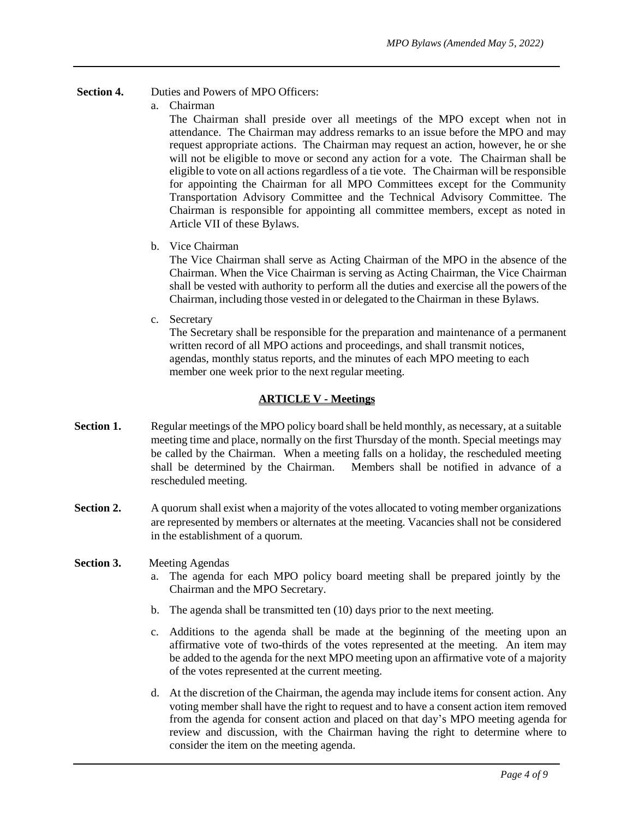#### Section 4. Duties and Powers of MPO Officers:

a. Chairman

The Chairman shall preside over all meetings of the MPO except when not in attendance. The Chairman may address remarks to an issue before the MPO and may request appropriate actions. The Chairman may request an action, however, he or she will not be eligible to move or second any action for a vote. The Chairman shall be eligible to vote on all actions regardless of a tie vote. The Chairman will be responsible for appointing the Chairman for all MPO Committees except for the Community Transportation Advisory Committee and the Technical Advisory Committee. The Chairman is responsible for appointing all committee members, except as noted in Article VII of these Bylaws.

b. Vice Chairman

The Vice Chairman shall serve as Acting Chairman of the MPO in the absence of the Chairman. When the Vice Chairman is serving as Acting Chairman, the Vice Chairman shall be vested with authority to perform all the duties and exercise all the powers of the Chairman, including those vested in or delegated to the Chairman in these Bylaws.

c. Secretary

The Secretary shall be responsible for the preparation and maintenance of a permanent written record of all MPO actions and proceedings, and shall transmit notices, agendas, monthly status reports, and the minutes of each MPO meeting to each member one week prior to the next regular meeting.

#### **ARTICLE V - Meetings**

- Section 1. Regular meetings of the MPO policy board shall be held monthly, as necessary, at a suitable meeting time and place, normally on the first Thursday of the month. Special meetings may be called by the Chairman. When a meeting falls on a holiday, the rescheduled meeting shall be determined by the Chairman. Members shall be notified in advance of a rescheduled meeting.
- **Section 2.** A quorum shall exist when a majority of the votes allocated to voting member organizations are represented by members or alternates at the meeting. Vacancies shall not be considered in the establishment of a quorum.

#### **Section 3.** Meeting Agendas

- a. The agenda for each MPO policy board meeting shall be prepared jointly by the Chairman and the MPO Secretary.
- b. The agenda shall be transmitted ten (10) days prior to the next meeting.
- c. Additions to the agenda shall be made at the beginning of the meeting upon an affirmative vote of two-thirds of the votes represented at the meeting. An item may be added to the agenda for the next MPO meeting upon an affirmative vote of a majority of the votes represented at the current meeting.
- d. At the discretion of the Chairman, the agenda may include items for consent action. Any voting member shall have the right to request and to have a consent action item removed from the agenda for consent action and placed on that day's MPO meeting agenda for review and discussion, with the Chairman having the right to determine where to consider the item on the meeting agenda.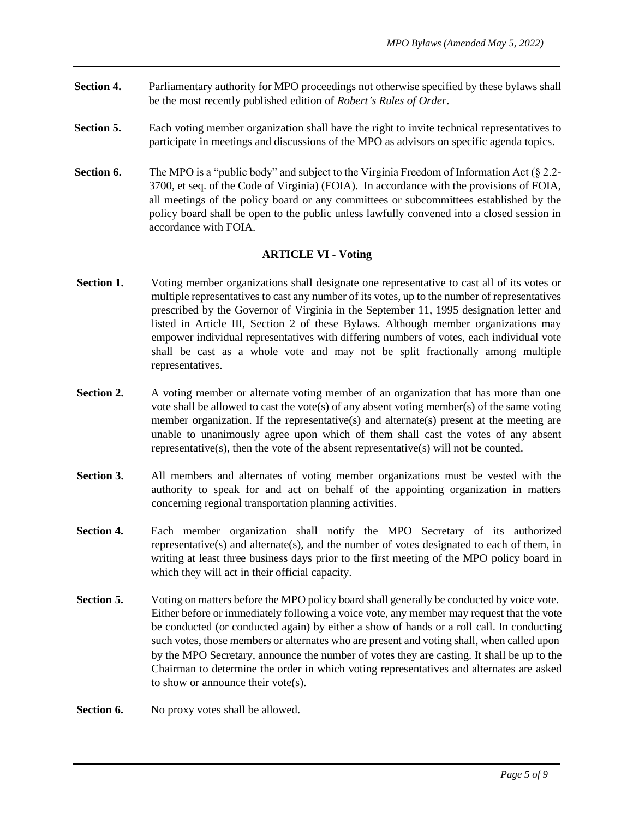- **Section 4.** Parliamentary authority for MPO proceedings not otherwise specified by these bylaws shall be the most recently published edition of *Robert's Rules of Order*.
- **Section 5.** Each voting member organization shall have the right to invite technical representatives to participate in meetings and discussions of the MPO as advisors on specific agenda topics.
- **Section 6.** The MPO is a "public body" and subject to the Virginia Freedom of Information Act (§ 2.2-3700, et seq. of the Code of Virginia) (FOIA). In accordance with the provisions of FOIA, all meetings of the policy board or any committees or subcommittees established by the policy board shall be open to the public unless lawfully convened into a closed session in accordance with FOIA.

## **ARTICLE VI - Voting**

- **Section 1.** Voting member organizations shall designate one representative to cast all of its votes or multiple representatives to cast any number of its votes, up to the number of representatives prescribed by the Governor of Virginia in the September 11, 1995 designation letter and listed in Article III, Section 2 of these Bylaws. Although member organizations may empower individual representatives with differing numbers of votes, each individual vote shall be cast as a whole vote and may not be split fractionally among multiple representatives.
- **Section 2.** A voting member or alternate voting member of an organization that has more than one vote shall be allowed to cast the vote(s) of any absent voting member(s) of the same voting member organization. If the representative(s) and alternate(s) present at the meeting are unable to unanimously agree upon which of them shall cast the votes of any absent representative(s), then the vote of the absent representative(s) will not be counted.
- **Section 3.** All members and alternates of voting member organizations must be vested with the authority to speak for and act on behalf of the appointing organization in matters concerning regional transportation planning activities.
- **Section 4.** Each member organization shall notify the MPO Secretary of its authorized representative(s) and alternate(s), and the number of votes designated to each of them, in writing at least three business days prior to the first meeting of the MPO policy board in which they will act in their official capacity.
- **Section 5.** Voting on matters before the MPO policy board shall generally be conducted by voice vote. Either before or immediately following a voice vote, any member may request that the vote be conducted (or conducted again) by either a show of hands or a roll call. In conducting such votes, those members or alternates who are present and voting shall, when called upon by the MPO Secretary, announce the number of votes they are casting. It shall be up to the Chairman to determine the order in which voting representatives and alternates are asked to show or announce their vote(s).

**Section 6.** No proxy votes shall be allowed.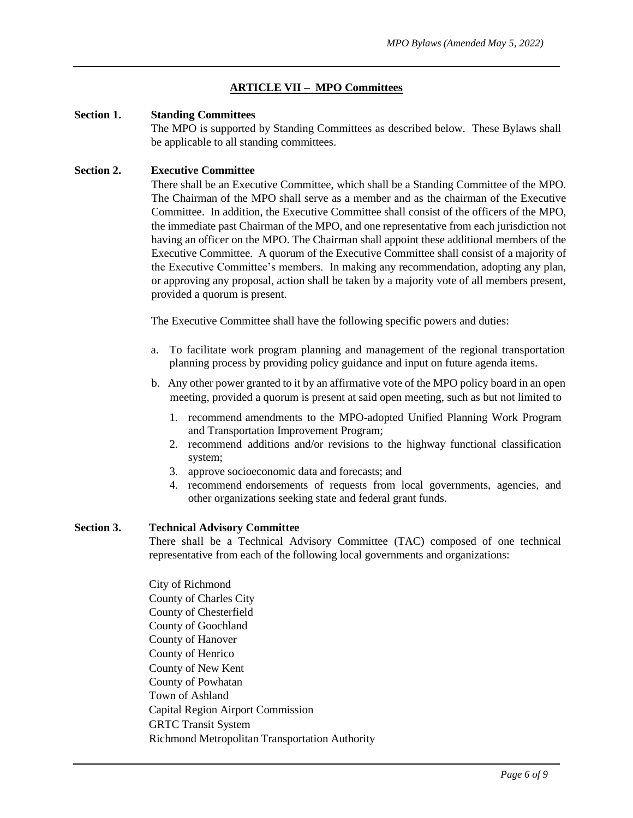## **ARTICLE VII – MPO Committees**

#### **Section 1. Standing Committees**

The MPO is supported by Standing Committees as described below. These Bylaws shall be applicable to all standing committees.

#### **Section 2. Executive Committee**

There shall be an Executive Committee, which shall be a Standing Committee of the MPO. The Chairman of the MPO shall serve as a member and as the chairman of the Executive Committee. In addition, the Executive Committee shall consist of the officers of the MPO, the immediate past Chairman of the MPO, and one representative from each jurisdiction not having an officer on the MPO. The Chairman shall appoint these additional members of the Executive Committee. A quorum of the Executive Committee shall consist of a majority of the Executive Committee's members. In making any recommendation, adopting any plan, or approving any proposal, action shall be taken by a majority vote of all members present, provided a quorum is present.

The Executive Committee shall have the following specific powers and duties:

- a. To facilitate work program planning and management of the regional transportation planning process by providing policy guidance and input on future agenda items.
- b. Any other power granted to it by an affirmative vote of the MPO policy board in an open meeting, provided a quorum is present at said open meeting, such as but not limited to
	- 1. recommend amendments to the MPO-adopted Unified Planning Work Program and Transportation Improvement Program;
	- 2. recommend additions and/or revisions to the highway functional classification system;
	- 3. approve socioeconomic data and forecasts; and
	- 4. recommend endorsements of requests from local governments, agencies, and other organizations seeking state and federal grant funds.

## **Section 3. Technical Advisory Committee**

There shall be a Technical Advisory Committee (TAC) composed of one technical representative from each of the following local governments and organizations:

City of Richmond County of Charles City County of Chesterfield County of Goochland County of Hanover County of Henrico County of New Kent County of Powhatan Town of Ashland Capital Region Airport Commission GRTC Transit System Richmond Metropolitan Transportation Authority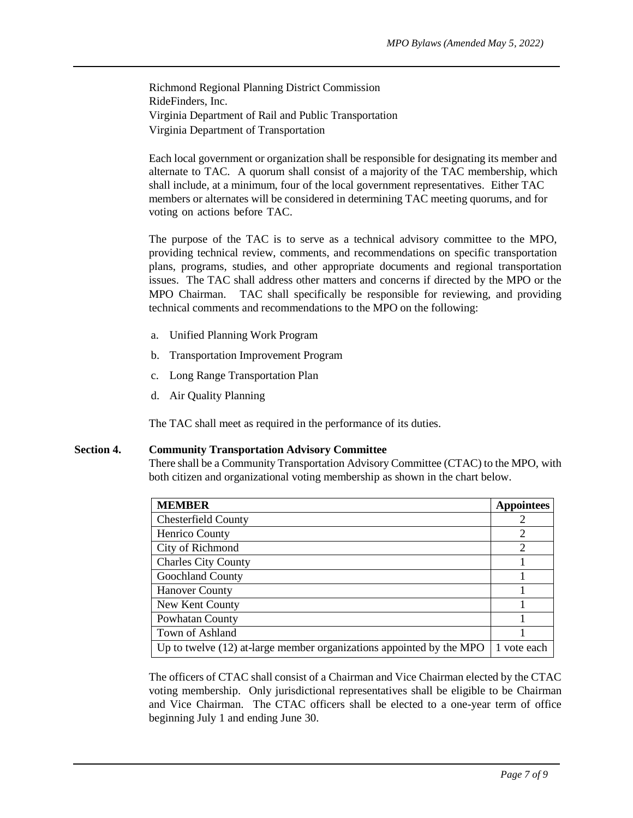Richmond Regional Planning District Commission RideFinders, Inc. Virginia Department of Rail and Public Transportation Virginia Department of Transportation

Each local government or organization shall be responsible for designating its member and alternate to TAC. A quorum shall consist of a majority of the TAC membership, which shall include, at a minimum, four of the local government representatives. Either TAC members or alternates will be considered in determining TAC meeting quorums, and for voting on actions before TAC.

The purpose of the TAC is to serve as a technical advisory committee to the MPO, providing technical review, comments, and recommendations on specific transportation plans, programs, studies, and other appropriate documents and regional transportation issues. The TAC shall address other matters and concerns if directed by the MPO or the MPO Chairman. TAC shall specifically be responsible for reviewing, and providing technical comments and recommendations to the MPO on the following:

- a. Unified Planning Work Program
- b. Transportation Improvement Program
- c. Long Range Transportation Plan
- d. Air Quality Planning

The TAC shall meet as required in the performance of its duties.

#### **Section 4. Community Transportation Advisory Committee**

There shall be a Community Transportation Advisory Committee (CTAC) to the MPO, with both citizen and organizational voting membership as shown in the chart below.

| <b>MEMBER</b>                                                          | <b>Appointees</b> |
|------------------------------------------------------------------------|-------------------|
| <b>Chesterfield County</b>                                             |                   |
| Henrico County                                                         | 2                 |
| City of Richmond                                                       |                   |
| <b>Charles City County</b>                                             |                   |
| Goochland County                                                       |                   |
| <b>Hanover County</b>                                                  |                   |
| New Kent County                                                        |                   |
| Powhatan County                                                        |                   |
| Town of Ashland                                                        |                   |
| Up to twelve $(12)$ at-large member organizations appointed by the MPO | 1 vote each       |

The officers of CTAC shall consist of a Chairman and Vice Chairman elected by the CTAC voting membership. Only jurisdictional representatives shall be eligible to be Chairman and Vice Chairman. The CTAC officers shall be elected to a one-year term of office beginning July 1 and ending June 30.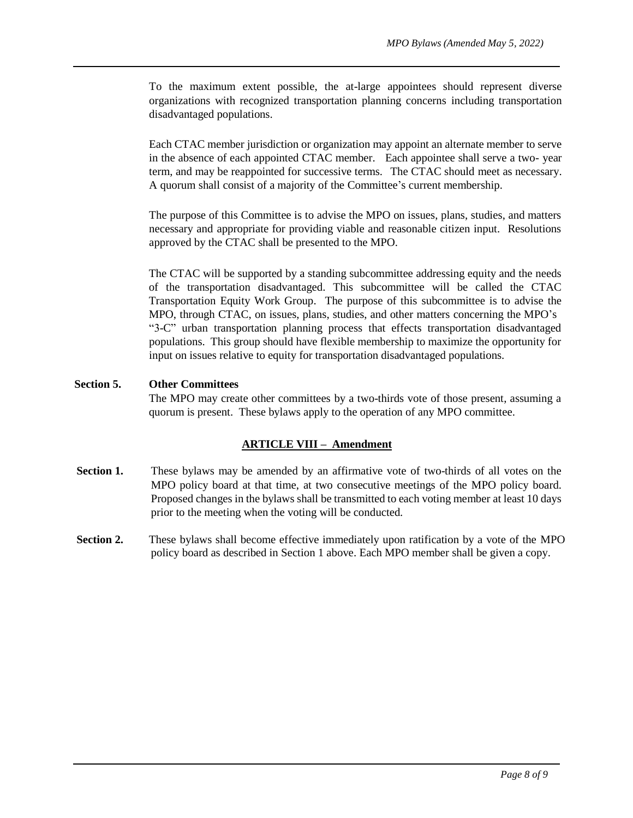To the maximum extent possible, the at-large appointees should represent diverse organizations with recognized transportation planning concerns including transportation disadvantaged populations.

Each CTAC member jurisdiction or organization may appoint an alternate member to serve in the absence of each appointed CTAC member. Each appointee shall serve a two- year term, and may be reappointed for successive terms. The CTAC should meet as necessary. A quorum shall consist of a majority of the Committee's current membership.

The purpose of this Committee is to advise the MPO on issues, plans, studies, and matters necessary and appropriate for providing viable and reasonable citizen input. Resolutions approved by the CTAC shall be presented to the MPO.

The CTAC will be supported by a standing subcommittee addressing equity and the needs of the transportation disadvantaged. This subcommittee will be called the CTAC Transportation Equity Work Group. The purpose of this subcommittee is to advise the MPO, through CTAC, on issues, plans, studies, and other matters concerning the MPO's "3-C" urban transportation planning process that effects transportation disadvantaged populations. This group should have flexible membership to maximize the opportunity for input on issues relative to equity for transportation disadvantaged populations.

#### **Section 5. Other Committees**

The MPO may create other committees by a two-thirds vote of those present, assuming a quorum is present. These bylaws apply to the operation of any MPO committee.

#### **ARTICLE VIII – Amendment**

- **Section 1.** These bylaws may be amended by an affirmative vote of two-thirds of all votes on the MPO policy board at that time, at two consecutive meetings of the MPO policy board. Proposed changes in the bylaws shall be transmitted to each voting member at least 10 days prior to the meeting when the voting will be conducted.
- **Section 2.** These bylaws shall become effective immediately upon ratification by a vote of the MPO policy board as described in Section 1 above. Each MPO member shall be given a copy.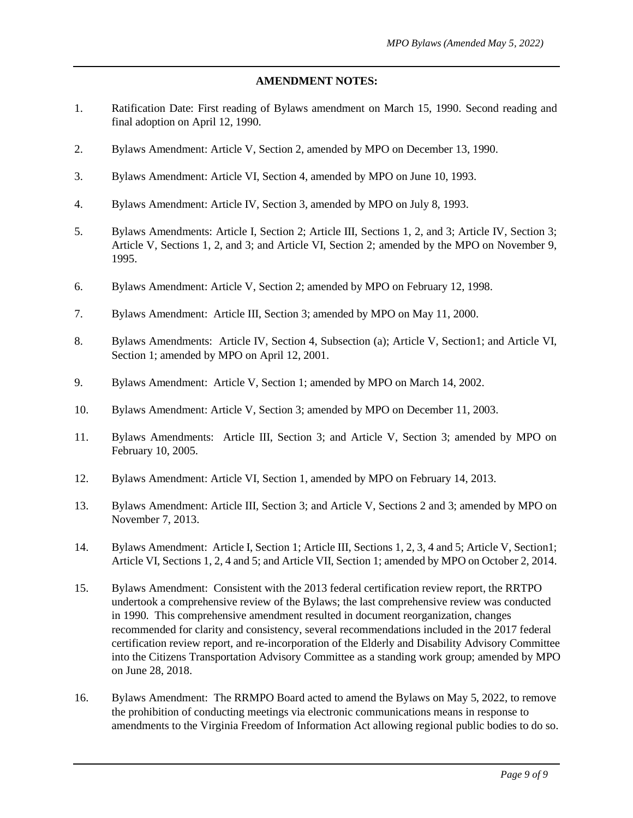## **AMENDMENT NOTES:**

- 1. Ratification Date: First reading of Bylaws amendment on March 15, 1990. Second reading and final adoption on April 12, 1990.
- 2. Bylaws Amendment: Article V, Section 2, amended by MPO on December 13, 1990.
- 3. Bylaws Amendment: Article VI, Section 4, amended by MPO on June 10, 1993.
- 4. Bylaws Amendment: Article IV, Section 3, amended by MPO on July 8, 1993.
- 5. Bylaws Amendments: Article I, Section 2; Article III, Sections 1, 2, and 3; Article IV, Section 3; Article V, Sections 1, 2, and 3; and Article VI, Section 2; amended by the MPO on November 9, 1995.
- 6. Bylaws Amendment: Article V, Section 2; amended by MPO on February 12, 1998.
- 7. Bylaws Amendment: Article III, Section 3; amended by MPO on May 11, 2000.
- 8. Bylaws Amendments: Article IV, Section 4, Subsection (a); Article V, Section1; and Article VI, Section 1; amended by MPO on April 12, 2001.
- 9. Bylaws Amendment: Article V, Section 1; amended by MPO on March 14, 2002.
- 10. Bylaws Amendment: Article V, Section 3; amended by MPO on December 11, 2003.
- 11. Bylaws Amendments: Article III, Section 3; and Article V, Section 3; amended by MPO on February 10, 2005.
- 12. Bylaws Amendment: Article VI, Section 1, amended by MPO on February 14, 2013.
- 13. Bylaws Amendment: Article III, Section 3; and Article V, Sections 2 and 3; amended by MPO on November 7, 2013.
- 14. Bylaws Amendment: Article I, Section 1; Article III, Sections 1, 2, 3, 4 and 5; Article V, Section1; Article VI, Sections 1, 2, 4 and 5; and Article VII, Section 1; amended by MPO on October 2, 2014.
- 15. Bylaws Amendment: Consistent with the 2013 federal certification review report, the RRTPO undertook a comprehensive review of the Bylaws; the last comprehensive review was conducted in 1990. This comprehensive amendment resulted in document reorganization, changes recommended for clarity and consistency, several recommendations included in the 2017 federal certification review report, and re-incorporation of the Elderly and Disability Advisory Committee into the Citizens Transportation Advisory Committee as a standing work group; amended by MPO on June 28, 2018.
- 16. Bylaws Amendment: The RRMPO Board acted to amend the Bylaws on May 5, 2022, to remove the prohibition of conducting meetings via electronic communications means in response to amendments to the Virginia Freedom of Information Act allowing regional public bodies to do so.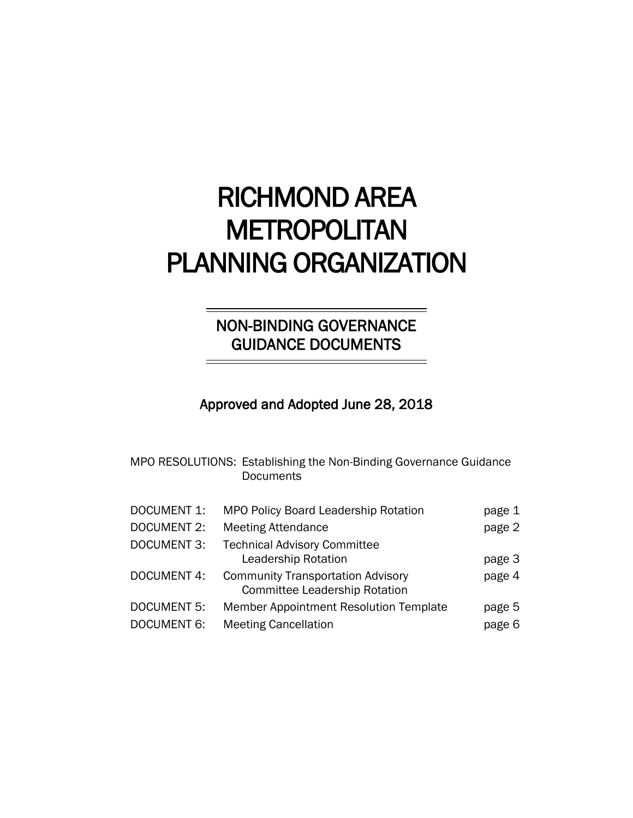# NON-BINDING GOVERNANCE GUIDANCE DOCUMENTS

ֺ֒

 $\overline{a}$ 

## Approved and Adopted June 28, 2018

## MPO RESOLUTIONS: Establishing the Non-Binding Governance Guidance **Documents**

| <b>DOCUMENT 1:</b> | <b>MPO Policy Board Leadership Rotation</b>                                      | page 1 |
|--------------------|----------------------------------------------------------------------------------|--------|
| <b>DOCUMENT 2:</b> | <b>Meeting Attendance</b>                                                        | page 2 |
| <b>DOCUMENT 3:</b> | <b>Technical Advisory Committee</b><br>Leadership Rotation                       | page 3 |
| <b>DOCUMENT 4:</b> | <b>Community Transportation Advisory</b><br><b>Committee Leadership Rotation</b> | page 4 |
| <b>DOCUMENT 5:</b> | Member Appointment Resolution Template                                           | page 5 |
| <b>DOCUMENT 6:</b> | <b>Meeting Cancellation</b>                                                      | page 6 |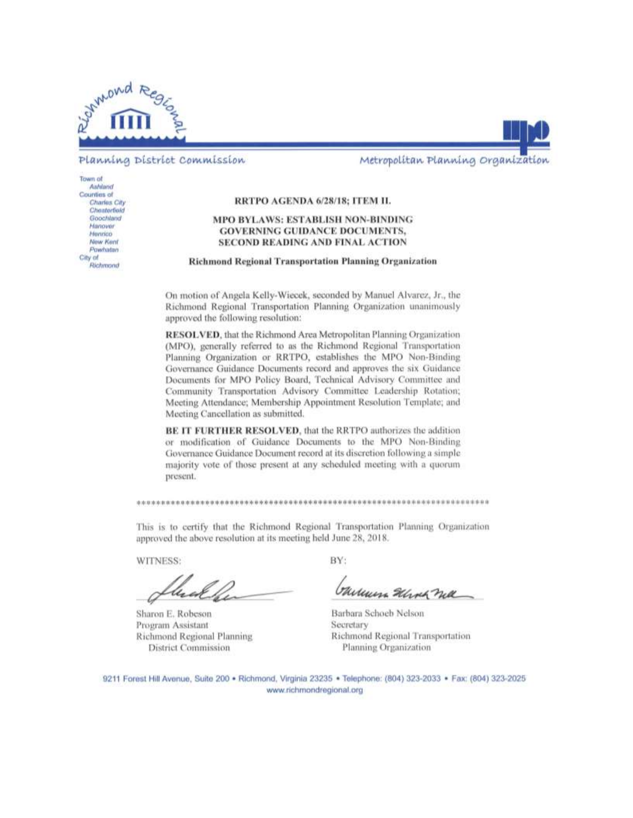



Metropolitan Planning Organization

Town of Anhiand Counties of Charles City Cheaterfield Goochland Hanover Hannico New Kent Powhatan City of Richmond

#### RRTPO AGENDA 6/28/18; ITEM II.

#### MPO BYLAWS: ESTABLISH NON-BINDING **GOVERNING GUIDANCE DOCUMENTS, SECOND READING AND FINAL ACTION**

**Richmond Regional Transportation Planning Organization** 

On motion of Angela Kelly-Wiecek, seconded by Manuel Alvarez, Jr., the Richmond Regional Transportation Planning Organization unanimously approved the following resolution:

RESOLVED, that the Richmond Area Metropolitan Planning Organization (MPO), generally referred to as the Richmond Regional Transportation Planning Organization or RRTPO, establishes the MPO Non-Binding Governance Guidance Documents record and approves the six Guidance Documents for MPO Policy Board, Technical Advisory Committee and Community Transportation Advisory Committee Leadership Rotation; Meeting Attendance; Membership Appointment Resolution Template; and Meeting Cancellation as submitted.

BE IT FURTHER RESOLVED, that the RRTPO authorizes the addition or modification of Guidance Documents to the MPO Non-Binding Governance Guidance Document record at its discretion following a simple majority vote of those present at any scheduled meeting with a quorum present.

This is to certify that the Richmond Regional Transportation Planning Organization

WITNESS:

approved the above resolution at its meeting held June 28, 2018.

Sharon E. Robeson Program Assistant Richmond Regional Planning District Commission

BY:

January Schock nell

Barbara Schoeb Nelson Secretary Richmond Regional Transportation Planning Organization

9211 Forest Hill Avenue, Suite 200 · Richmond, Virginia 23235 · Telephone: (804) 323-2033 · Fax: (804) 323-2025 www.richmondregional.org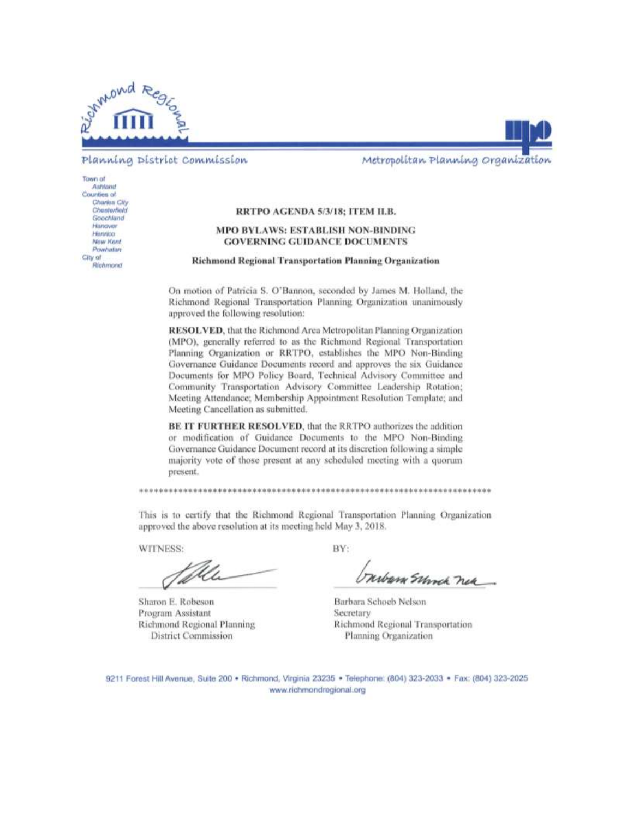

#### Planning District Commission

Metropolitan Planning Organization

Town of<br>Ashland Counties of Charles City Chesterheld Goochland Hanover Henrico New Kent Powhativi City of Richmond

#### RRTPO AGENDA 5/3/18; ITEM II.B.

#### MPO BYLAWS: ESTABLISH NON-BINDING **GOVERNING GUIDANCE DOCUMENTS**

#### **Richmond Regional Transportation Planning Organization**

On motion of Patricia S. O'Bannon, seconded by James M. Holland, the Richmond Regional Transportation Planning Organization unanimously approved the following resolution:

RESOLVED, that the Richmond Area Metropolitan Planning Organization (MPO), generally referred to as the Richmond Regional Transportation Planning Organization or RRTPO, establishes the MPO Non-Binding Governance Guidance Documents record and approves the six Guidance Documents for MPO Policy Board, Technical Advisory Committee and Community Transportation Advisory Committee Leadership Rotation; Meeting Attendance; Membership Appointment Resolution Template; and Meeting Cancellation as submitted.

BE IT FURTHER RESOLVED, that the RRTPO authorizes the addition or modification of Guidance Documents to the MPO Non-Binding Governance Guidance Document record at its discretion following a simple majority vote of those present at any scheduled meeting with a quorum present.

This is to certify that the Richmond Regional Transportation Planning Organization approved the above resolution at its meeting held May 3, 2018.

WITNESS:

1DU.

Sharon E. Robeson Program Assistant Richmond Regional Planning **District Commission** 

BY:

buban Sunch nea

Barbara Schoeb Nelson Secretary Richmond Regional Transportation Planning Organization

9211 Forest Hill Avenue, Suite 200 · Richmond, Virginia 23235 · Telephone: (804) 323-2033 · Fax: (804) 323-2025 www.richmondregional.org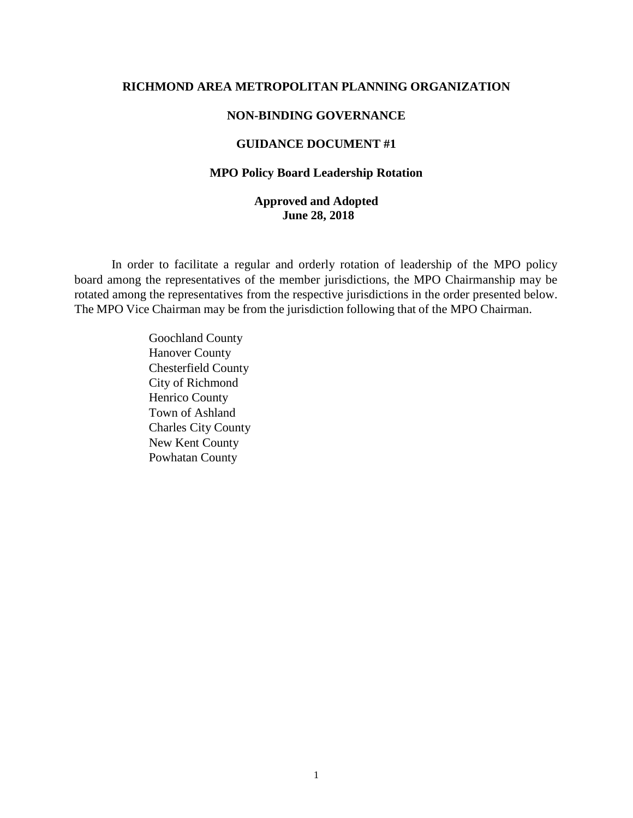#### **NON-BINDING GOVERNANCE**

## **GUIDANCE DOCUMENT #1**

#### **MPO Policy Board Leadership Rotation**

## **Approved and Adopted June 28, 2018**

In order to facilitate a regular and orderly rotation of leadership of the MPO policy board among the representatives of the member jurisdictions, the MPO Chairmanship may be rotated among the representatives from the respective jurisdictions in the order presented below. The MPO Vice Chairman may be from the jurisdiction following that of the MPO Chairman.

> Goochland County Hanover County Chesterfield County City of Richmond Henrico County Town of Ashland Charles City County New Kent County Powhatan County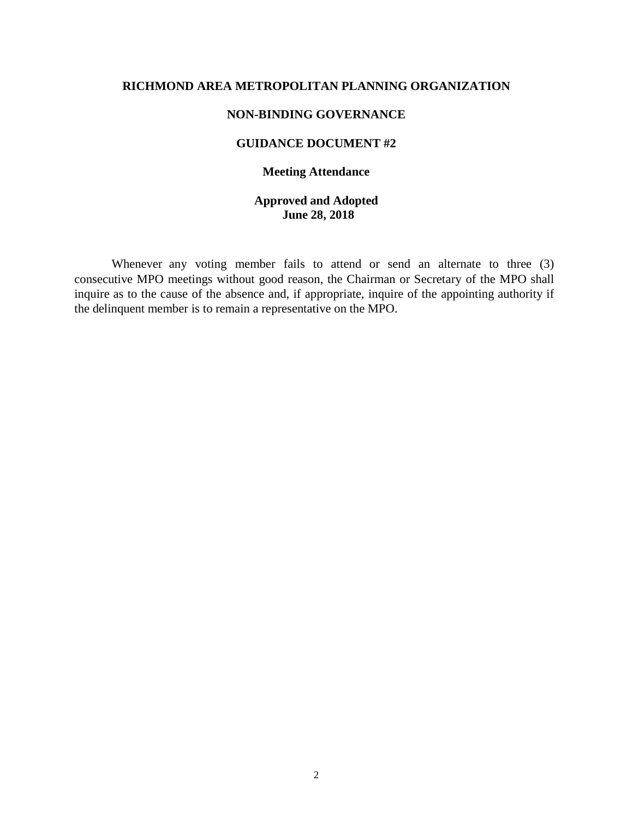## **NON-BINDING GOVERNANCE**

## **GUIDANCE DOCUMENT #2**

## **Meeting Attendance**

## **Approved and Adopted June 28, 2018**

Whenever any voting member fails to attend or send an alternate to three (3) consecutive MPO meetings without good reason, the Chairman or Secretary of the MPO shall inquire as to the cause of the absence and, if appropriate, inquire of the appointing authority if the delinquent member is to remain a representative on the MPO.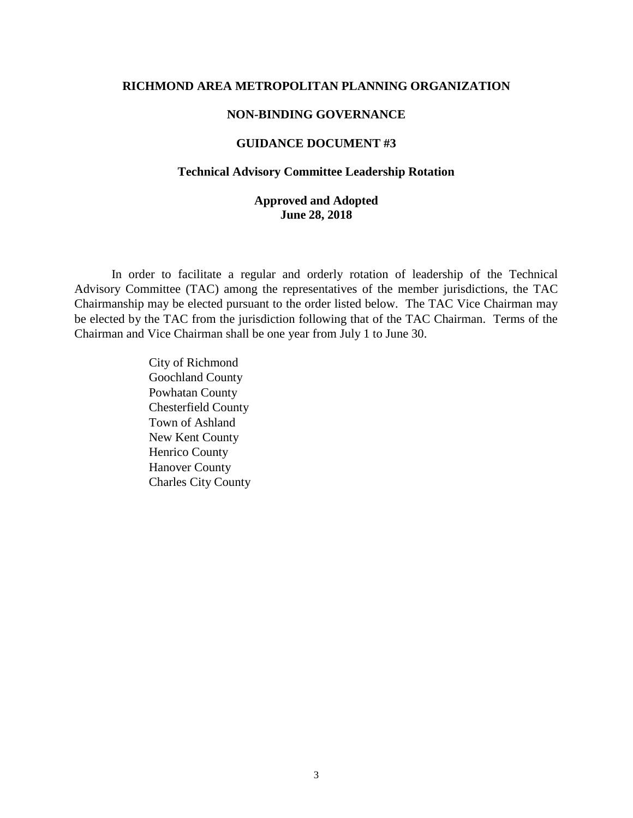## **NON-BINDING GOVERNANCE**

## **GUIDANCE DOCUMENT #3**

#### **Technical Advisory Committee Leadership Rotation**

## **Approved and Adopted June 28, 2018**

In order to facilitate a regular and orderly rotation of leadership of the Technical Advisory Committee (TAC) among the representatives of the member jurisdictions, the TAC Chairmanship may be elected pursuant to the order listed below. The TAC Vice Chairman may be elected by the TAC from the jurisdiction following that of the TAC Chairman. Terms of the Chairman and Vice Chairman shall be one year from July 1 to June 30.

> City of Richmond Goochland County Powhatan County Chesterfield County Town of Ashland New Kent County Henrico County Hanover County Charles City County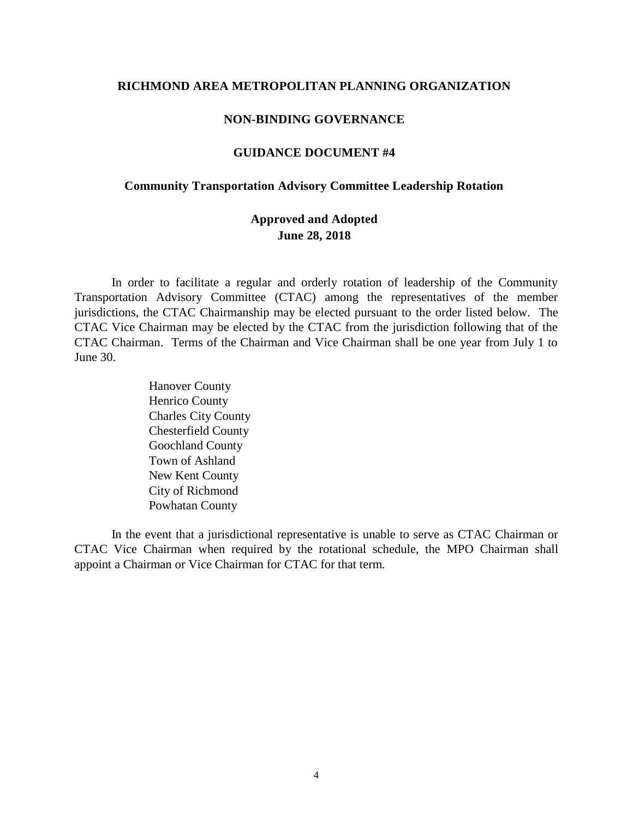## **NON-BINDING GOVERNANCE**

#### **GUIDANCE DOCUMENT #4**

#### **Community Transportation Advisory Committee Leadership Rotation**

## **Approved and Adopted June 28, 2018**

In order to facilitate a regular and orderly rotation of leadership of the Community Transportation Advisory Committee (CTAC) among the representatives of the member jurisdictions, the CTAC Chairmanship may be elected pursuant to the order listed below. The CTAC Vice Chairman may be elected by the CTAC from the jurisdiction following that of the CTAC Chairman. Terms of the Chairman and Vice Chairman shall be one year from July 1 to June 30.

> Hanover County Henrico County Charles City County Chesterfield County Goochland County Town of Ashland New Kent County City of Richmond Powhatan County

In the event that a jurisdictional representative is unable to serve as CTAC Chairman or CTAC Vice Chairman when required by the rotational schedule, the MPO Chairman shall appoint a Chairman or Vice Chairman for CTAC for that term.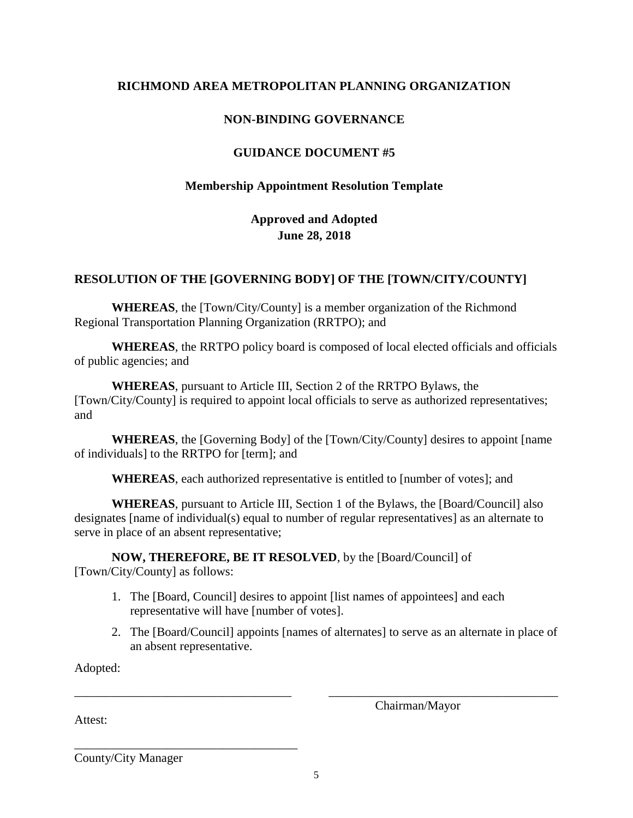## **NON-BINDING GOVERNANCE**

## **GUIDANCE DOCUMENT #5**

## **Membership Appointment Resolution Template**

## **Approved and Adopted June 28, 2018**

## **RESOLUTION OF THE [GOVERNING BODY] OF THE [TOWN/CITY/COUNTY]**

**WHEREAS**, the [Town/City/County] is a member organization of the Richmond Regional Transportation Planning Organization (RRTPO); and

**WHEREAS**, the RRTPO policy board is composed of local elected officials and officials of public agencies; and

**WHEREAS**, pursuant to Article III, Section 2 of the RRTPO Bylaws, the [Town/City/County] is required to appoint local officials to serve as authorized representatives; and

**WHEREAS**, the [Governing Body] of the [Town/City/County] desires to appoint [name of individuals] to the RRTPO for [term]; and

**WHEREAS**, each authorized representative is entitled to [number of votes]; and

**WHEREAS**, pursuant to Article III, Section 1 of the Bylaws, the [Board/Council] also designates [name of individual(s) equal to number of regular representatives] as an alternate to serve in place of an absent representative;

**NOW, THEREFORE, BE IT RESOLVED**, by the [Board/Council] of [Town/City/County] as follows:

- 1. The [Board, Council] desires to appoint [list names of appointees] and each representative will have [number of votes].
- 2. The [Board/Council] appoints [names of alternates] to serve as an alternate in place of an absent representative.

Adopted:

Chairman/Mayor

Attest:

County/City Manager

\_\_\_\_\_\_\_\_\_\_\_\_\_\_\_\_\_\_\_\_\_\_\_\_\_\_\_\_\_\_\_\_\_\_\_\_

\_\_\_\_\_\_\_\_\_\_\_\_\_\_\_\_\_\_\_\_\_\_\_\_\_\_\_\_\_\_\_\_\_\_\_ \_\_\_\_\_\_\_\_\_\_\_\_\_\_\_\_\_\_\_\_\_\_\_\_\_\_\_\_\_\_\_\_\_\_\_\_\_